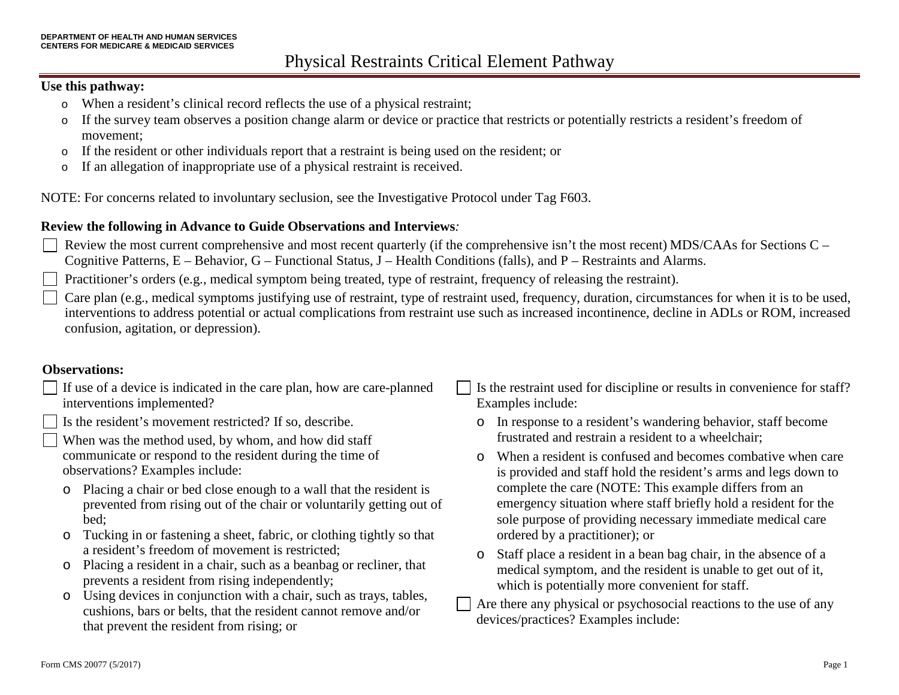#### **Use this pathway:**

- o When a resident's clinical record reflects the use of a physical restraint;
- o If the survey team observes a position change alarm or device or practice that restricts or potentially restricts a resident's freedom of movement;
- o If the resident or other individuals report that a restraint is being used on the resident; or
- o If an allegation of inappropriate use of a physical restraint is received.

NOTE: For concerns related to involuntary seclusion, see the Investigative Protocol under Tag F603.

#### **Review the following in Advance to Guide Observations and Interviews***:*

Review the most current comprehensive and most recent quarterly (if the comprehensive isn't the most recent) MDS/CAAs for Sections C – Cognitive Patterns, E – Behavior, G – Functional Status, J – Health Conditions (falls), and P – Restraints and Alarms.

Practitioner's orders (e.g., medical symptom being treated, type of restraint, frequency of releasing the restraint).

Care plan (e.g., medical symptoms justifying use of restraint, type of restraint used, frequency, duration, circumstances for when it is to be used, interventions to address potential or actual complications from restraint use such as increased incontinence, decline in ADLs or ROM, increased confusion, agitation, or depression).

#### **Observations:**

- $\Box$ If use of a device is indicated in the care plan, how are care-planned interventions implemented?
	- Is the resident's movement restricted? If so, describe.
	- When was the method used, by whom, and how did staff communicate or respond to the resident during the time of observations? Examples include:
	- o Placing a chair or bed close enough to a wall that the resident is prevented from rising out of the chair or voluntarily getting out of bed;
	- o Tucking in or fastening a sheet, fabric, or clothing tightly so that a resident's freedom of movement is restricted;
	- o Placing a resident in a chair, such as a beanbag or recliner, that prevents a resident from rising independently;
	- o Using devices in conjunction with a chair, such as trays, tables, cushions, bars or belts, that the resident cannot remove and/or that prevent the resident from rising; or
- Is the restraint used for discipline or results in convenience for staff? Examples include:
	- o In response to a resident's wandering behavior, staff become frustrated and restrain a resident to a wheelchair;
	- o When a resident is confused and becomes combative when care is provided and staff hold the resident's arms and legs down to complete the care (NOTE: This example differs from an emergency situation where staff briefly hold a resident for the sole purpose of providing necessary immediate medical care ordered by a practitioner); or
	- o Staff place a resident in a bean bag chair, in the absence of a medical symptom, and the resident is unable to get out of it, which is potentially more convenient for staff.
- Are there any physical or psychosocial reactions to the use of any devices/practices? Examples include: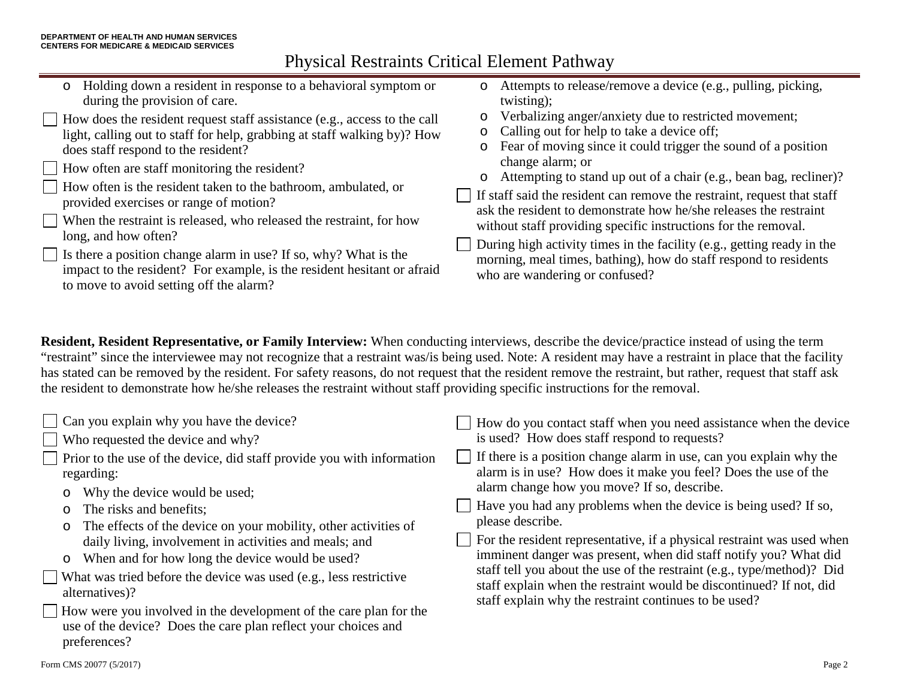- o Holding down a resident in response to a behavioral symptom or during the provision of care.
- How does the resident request staff assistance (e.g., access to the call light, calling out to staff for help, grabbing at staff walking by)? How does staff respond to the resident?
- How often are staff monitoring the resident?
- How often is the resident taken to the bathroom, ambulated, or provided exercises or range of motion?
- When the restraint is released, who released the restraint, for how  $\Box$ long, and how often?
	- Is there a position change alarm in use? If so, why? What is the impact to the resident? For example, is the resident hesitant or afraid to move to avoid setting off the alarm?
- o Attempts to release/remove a device (e.g., pulling, picking, twisting);
- o Verbalizing anger/anxiety due to restricted movement;
- o Calling out for help to take a device off;
- o Fear of moving since it could trigger the sound of a position change alarm; or
- o Attempting to stand up out of a chair (e.g., bean bag, recliner)?
- If staff said the resident can remove the restraint, request that staff ask the resident to demonstrate how he/she releases the restraint without staff providing specific instructions for the removal.
- During high activity times in the facility (e.g., getting ready in the morning, meal times, bathing), how do staff respond to residents who are wandering or confused?

**Resident, Resident Representative, or Family Interview:** When conducting interviews, describe the device/practice instead of using the term "restraint" since the interviewee may not recognize that a restraint was/is being used. Note: A resident may have a restraint in place that the facility has stated can be removed by the resident. For safety reasons, do not request that the resident remove the restraint, but rather, request that staff ask the resident to demonstrate how he/she releases the restraint without staff providing specific instructions for the removal.

| Can you explain why you have the device?                                                                                                                                                                                                 | How do you contact staff when you need assistance when the device                                                                                                                                                                                                                                                                                                        |
|------------------------------------------------------------------------------------------------------------------------------------------------------------------------------------------------------------------------------------------|--------------------------------------------------------------------------------------------------------------------------------------------------------------------------------------------------------------------------------------------------------------------------------------------------------------------------------------------------------------------------|
| $\Box$ Who requested the device and why?                                                                                                                                                                                                 | is used? How does staff respond to requests?                                                                                                                                                                                                                                                                                                                             |
| Prior to the use of the device, did staff provide you with information<br>regarding:<br>Why the device would be used;<br>$\circ$                                                                                                         | If there is a position change alarm in use, can you explain why the<br>alarm is in use? How does it make you feel? Does the use of the<br>alarm change how you move? If so, describe.<br>Have you had any problems when the device is being used? If so,                                                                                                                 |
| The risks and benefits;<br>$\circ$<br>The effects of the device on your mobility, other activities of<br>$\circ$<br>daily living, involvement in activities and meals; and<br>When and for how long the device would be used?<br>$\circ$ | please describe.<br>For the resident representative, if a physical restraint was used when<br>imminent danger was present, when did staff notify you? What did<br>staff tell you about the use of the restraint (e.g., type/method)? Did<br>staff explain when the restraint would be discontinued? If not, did<br>staff explain why the restraint continues to be used? |
| What was tried before the device was used (e.g., less restrictive<br>alternatives)?                                                                                                                                                      |                                                                                                                                                                                                                                                                                                                                                                          |
| How were you involved in the development of the care plan for the<br>use of the device? Does the care plan reflect your choices and<br>preferences?                                                                                      |                                                                                                                                                                                                                                                                                                                                                                          |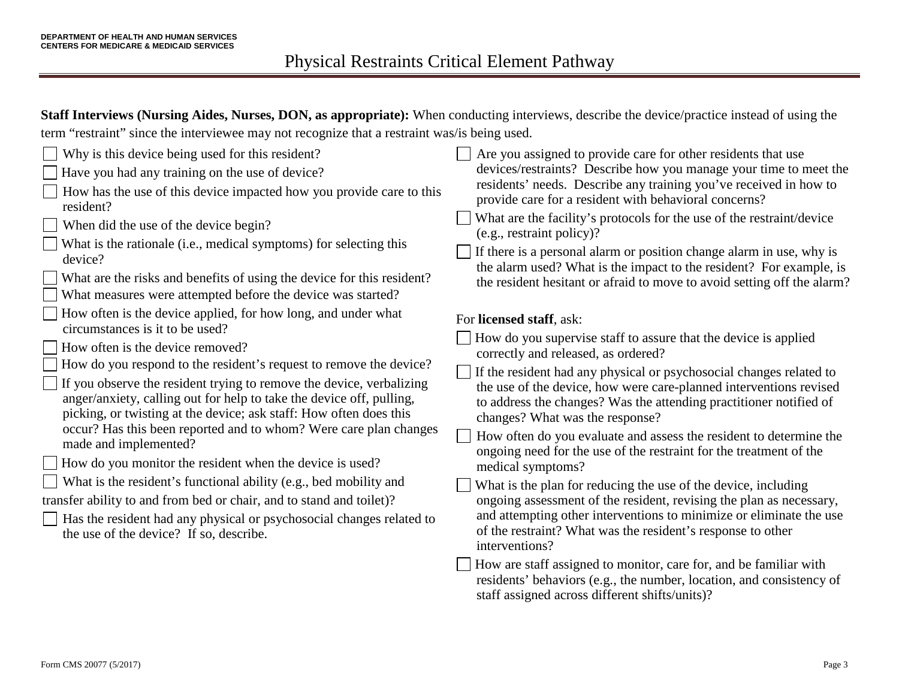**Staff Interviews (Nursing Aides, Nurses, DON, as appropriate):** When conducting interviews, describe the device/practice instead of using the term "restraint" since the interviewee may not recognize that a restraint was/is being used.

| Why is this device being used for this resident?                                                                                                                                                                                                                                                                                                                                                                                                                                                                                                                                                                                                                                                                                                                                                                                                           | Are you assigned to provide care for other residents that use                                                                                                                                                                                                                                                                                                                                                                                                                                                                                                                                                                                                                                                                                                                                                                                                                                                                                                                                           |
|------------------------------------------------------------------------------------------------------------------------------------------------------------------------------------------------------------------------------------------------------------------------------------------------------------------------------------------------------------------------------------------------------------------------------------------------------------------------------------------------------------------------------------------------------------------------------------------------------------------------------------------------------------------------------------------------------------------------------------------------------------------------------------------------------------------------------------------------------------|---------------------------------------------------------------------------------------------------------------------------------------------------------------------------------------------------------------------------------------------------------------------------------------------------------------------------------------------------------------------------------------------------------------------------------------------------------------------------------------------------------------------------------------------------------------------------------------------------------------------------------------------------------------------------------------------------------------------------------------------------------------------------------------------------------------------------------------------------------------------------------------------------------------------------------------------------------------------------------------------------------|
| Have you had any training on the use of device?                                                                                                                                                                                                                                                                                                                                                                                                                                                                                                                                                                                                                                                                                                                                                                                                            | devices/restraints? Describe how you manage your time to meet the                                                                                                                                                                                                                                                                                                                                                                                                                                                                                                                                                                                                                                                                                                                                                                                                                                                                                                                                       |
| How has the use of this device impacted how you provide care to this                                                                                                                                                                                                                                                                                                                                                                                                                                                                                                                                                                                                                                                                                                                                                                                       | residents' needs. Describe any training you've received in how to                                                                                                                                                                                                                                                                                                                                                                                                                                                                                                                                                                                                                                                                                                                                                                                                                                                                                                                                       |
| resident?                                                                                                                                                                                                                                                                                                                                                                                                                                                                                                                                                                                                                                                                                                                                                                                                                                                  | provide care for a resident with behavioral concerns?                                                                                                                                                                                                                                                                                                                                                                                                                                                                                                                                                                                                                                                                                                                                                                                                                                                                                                                                                   |
| When did the use of the device begin?                                                                                                                                                                                                                                                                                                                                                                                                                                                                                                                                                                                                                                                                                                                                                                                                                      | What are the facility's protocols for the use of the restraint/device                                                                                                                                                                                                                                                                                                                                                                                                                                                                                                                                                                                                                                                                                                                                                                                                                                                                                                                                   |
| What is the rationale (i.e., medical symptoms) for selecting this                                                                                                                                                                                                                                                                                                                                                                                                                                                                                                                                                                                                                                                                                                                                                                                          | (e.g., restraint policy)?                                                                                                                                                                                                                                                                                                                                                                                                                                                                                                                                                                                                                                                                                                                                                                                                                                                                                                                                                                               |
| device?                                                                                                                                                                                                                                                                                                                                                                                                                                                                                                                                                                                                                                                                                                                                                                                                                                                    | If there is a personal alarm or position change alarm in use, why is                                                                                                                                                                                                                                                                                                                                                                                                                                                                                                                                                                                                                                                                                                                                                                                                                                                                                                                                    |
| What are the risks and benefits of using the device for this resident?                                                                                                                                                                                                                                                                                                                                                                                                                                                                                                                                                                                                                                                                                                                                                                                     | the alarm used? What is the impact to the resident? For example, is                                                                                                                                                                                                                                                                                                                                                                                                                                                                                                                                                                                                                                                                                                                                                                                                                                                                                                                                     |
| What measures were attempted before the device was started?                                                                                                                                                                                                                                                                                                                                                                                                                                                                                                                                                                                                                                                                                                                                                                                                | the resident hesitant or afraid to move to avoid setting off the alarm?                                                                                                                                                                                                                                                                                                                                                                                                                                                                                                                                                                                                                                                                                                                                                                                                                                                                                                                                 |
| How often is the device applied, for how long, and under what<br>circumstances is it to be used?<br>How often is the device removed?<br>How do you respond to the resident's request to remove the device?<br>If you observe the resident trying to remove the device, verbalizing<br>anger/anxiety, calling out for help to take the device off, pulling,<br>picking, or twisting at the device; ask staff: How often does this<br>occur? Has this been reported and to whom? Were care plan changes<br>made and implemented?<br>How do you monitor the resident when the device is used?<br>What is the resident's functional ability (e.g., bed mobility and<br>transfer ability to and from bed or chair, and to stand and toilet)?<br>Has the resident had any physical or psychosocial changes related to<br>the use of the device? If so, describe. | For licensed staff, ask:<br>How do you supervise staff to assure that the device is applied<br>correctly and released, as ordered?<br>If the resident had any physical or psychosocial changes related to<br>the use of the device, how were care-planned interventions revised<br>to address the changes? Was the attending practitioner notified of<br>changes? What was the response?<br>How often do you evaluate and assess the resident to determine the<br>ongoing need for the use of the restraint for the treatment of the<br>medical symptoms?<br>What is the plan for reducing the use of the device, including<br>ongoing assessment of the resident, revising the plan as necessary,<br>and attempting other interventions to minimize or eliminate the use<br>of the restraint? What was the resident's response to other<br>interventions?<br>How are staff assigned to monitor, care for, and be familiar with<br>residents' behaviors (e.g., the number, location, and consistency of |

staff assigned across different shifts/units)?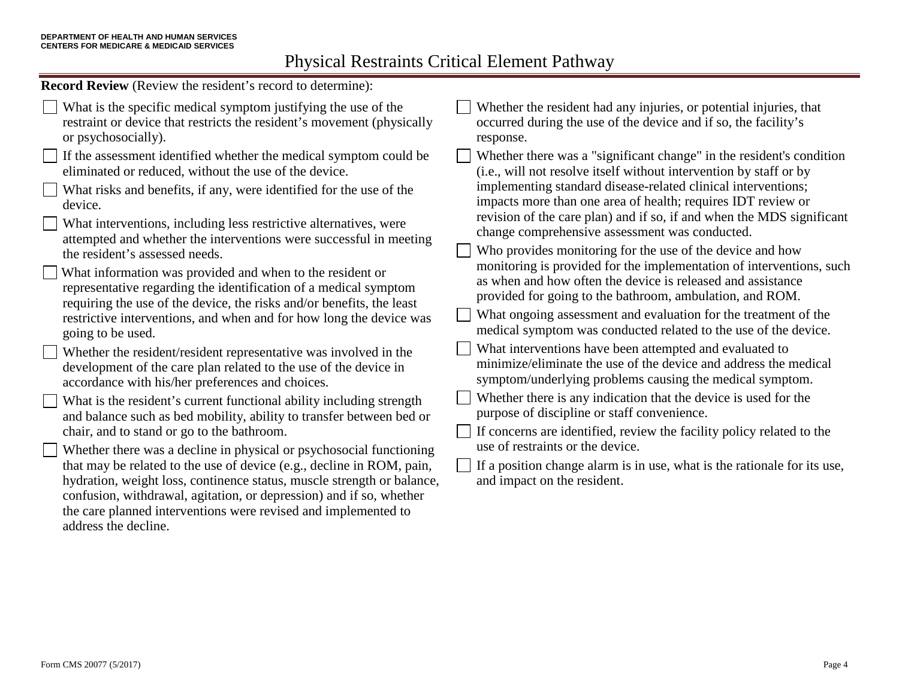**Record Review** (Review the resident's record to determine):

What is the specific medical symptom justifying the use of the restraint or device that restricts the resident's movement (physically or psychosocially).  $\Box$  If the assessment identified whether the medical symptom could be eliminated or reduced, without the use of the device. What risks and benefits, if any, were identified for the use of the device. What interventions, including less restrictive alternatives, were attempted and whether the interventions were successful in meeting the resident's assessed needs. What information was provided and when to the resident or representative regarding the identification of a medical symptom requiring the use of the device, the risks and/or benefits, the least restrictive interventions, and when and for how long the device was going to be used. Whether the resident/resident representative was involved in the development of the care plan related to the use of the device in accordance with his/her preferences and choices. What is the resident's current functional ability including strength and balance such as bed mobility, ability to transfer between bed or chair, and to stand or go to the bathroom. Whether there was a decline in physical or psychosocial functioning that may be related to the use of device (e.g., decline in ROM, pain, hydration, weight loss, continence status, muscle strength or balance, confusion, withdrawal, agitation, or depression) and if so, whether the care planned interventions were revised and implemented to address the decline. Whether the resident had any injuries, or potential injuries, that occurred during the use of the device and if so, the facility's response. Whether there was a "significant change" in the resident's condition (i.e., will not resolve itself without intervention by staff or by implementing standard disease-related clinical interventions; impacts more than one area of health; requires IDT review or revision of the care plan) and if so, if and when the MDS significant change comprehensive assessment was conducted. Who provides monitoring for the use of the device and how monitoring is provided for the implementation of interventions, such as when and how often the device is released and assistance provided for going to the bathroom, ambulation, and ROM. What ongoing assessment and evaluation for the treatment of the medical symptom was conducted related to the use of the device. What interventions have been attempted and evaluated to minimize/eliminate the use of the device and address the medical symptom/underlying problems causing the medical symptom. Whether there is any indication that the device is used for the purpose of discipline or staff convenience.  $\Box$  If concerns are identified, review the facility policy related to the use of restraints or the device. If a position change alarm is in use, what is the rationale for its use, and impact on the resident.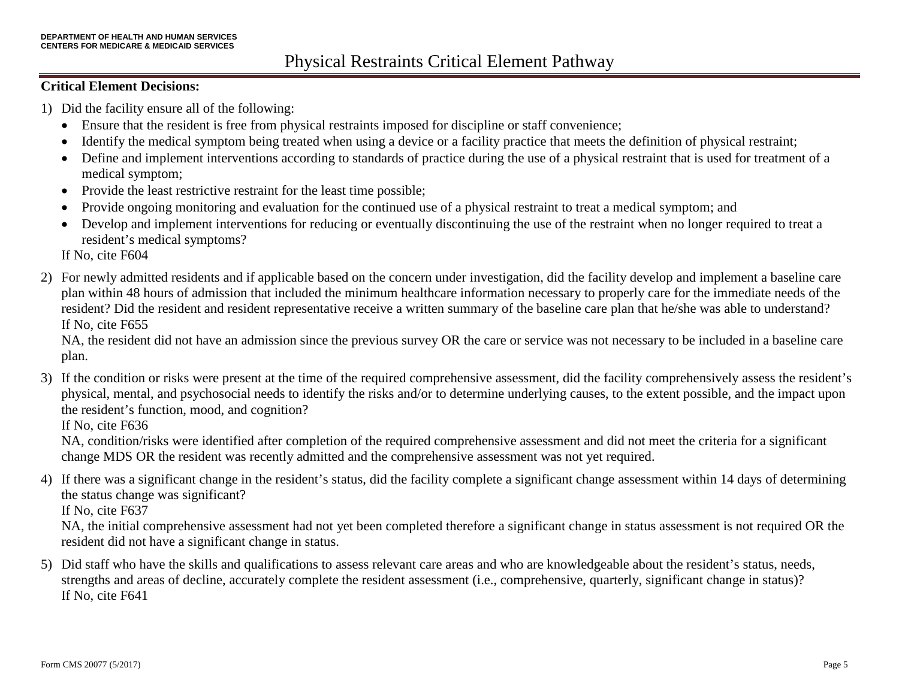### **Critical Element Decisions:**

- 1) Did the facility ensure all of the following:
	- Ensure that the resident is free from physical restraints imposed for discipline or staff convenience;
	- Identify the medical symptom being treated when using a device or a facility practice that meets the definition of physical restraint;
	- Define and implement interventions according to standards of practice during the use of a physical restraint that is used for treatment of a medical symptom;
	- Provide the least restrictive restraint for the least time possible;
	- Provide ongoing monitoring and evaluation for the continued use of a physical restraint to treat a medical symptom; and
	- Develop and implement interventions for reducing or eventually discontinuing the use of the restraint when no longer required to treat a resident's medical symptoms?

If No, cite F604

2) For newly admitted residents and if applicable based on the concern under investigation, did the facility develop and implement a baseline care plan within 48 hours of admission that included the minimum healthcare information necessary to properly care for the immediate needs of the resident? Did the resident and resident representative receive a written summary of the baseline care plan that he/she was able to understand? If No, cite F655

NA, the resident did not have an admission since the previous survey OR the care or service was not necessary to be included in a baseline care plan.

3) If the condition or risks were present at the time of the required comprehensive assessment, did the facility comprehensively assess the resident's physical, mental, and psychosocial needs to identify the risks and/or to determine underlying causes, to the extent possible, and the impact upon the resident's function, mood, and cognition?

If No, cite F636

NA, condition/risks were identified after completion of the required comprehensive assessment and did not meet the criteria for a significant change MDS OR the resident was recently admitted and the comprehensive assessment was not yet required.

4) If there was a significant change in the resident's status, did the facility complete a significant change assessment within 14 days of determining the status change was significant?

If No, cite F637

NA, the initial comprehensive assessment had not yet been completed therefore a significant change in status assessment is not required OR the resident did not have a significant change in status.

5) Did staff who have the skills and qualifications to assess relevant care areas and who are knowledgeable about the resident's status, needs, strengths and areas of decline, accurately complete the resident assessment (i.e., comprehensive, quarterly, significant change in status)? If No, cite F641